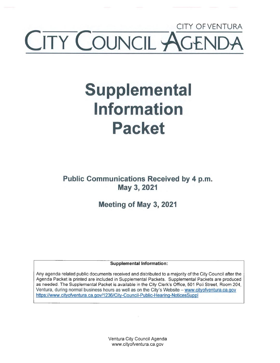## CITY OFVENTURA TY COUNCIL A

# **Supplemental Information Packet**

**Public Communications Received by 4 p.m. May 3, 2021** 

**Meeting of May 3, 2021** 

**Supplemental Information:** 

Any agenda related public documents received and distributed to a majority of the City Council after the Agenda Packet is printed are included in Supplemental Packets. Supplemental Packets are produced as needed. The Supplemental Packet is available in the City Clerk's Office, 501 Poli Street, Room 204, Ventura, during normal business hours as well as on the City's Website - www.cityofventura.ca.gov https://www.cityofventura.ca.gov/1236/City-Council-Public-Hearing-NoticesSuppl

> Ventura City Council Agenda www.cityofventura.ca.gov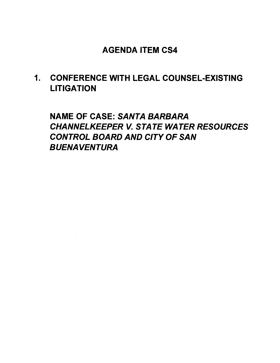## AGENDA ITEM CS4

1. CONFERENCE WITH LEGAL COUNSEL-EXISTING LITIGATION

NAME OF CASE: SANTA BARBARA CHANNELKEEPER V. STATE WATER RESOURCES CONTROL BOARD AND CITY OF SAN BUENAVENTURA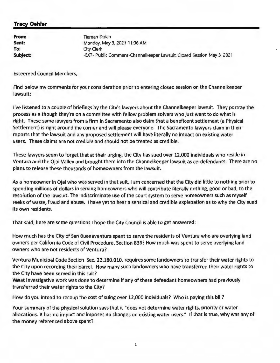### **Tracy Oehler**

**From: Sent: To: Subject:**  Tiernan Dolan Monday, May 3, 2021 11 :06 **AM**  City Clerk -EXT- Public Comment-Channelkeeper Lawsuit, Closed Session May 3, 2021

Esteemed Council Members,

Find below my comments for your consideration prior to entering closed session on the Channelkeeper lawsuit:

**I've** listened to a couple of briefings by the City's lawyers about the Channelkeeper lawsuit. They portray the process as a though they're on a committee with fellow problem solvers who just want to do what is right. These same lawyers from a firm in Sacramento also claim that a beneficent settlement (a Physical Settlement) is right around the corner and will please everyone. The Sacramento lawyers claim in their reports that the lawsuit and any proposed settlement will have literally no impact on existing water users. These claims are not credible and should not be treated as credible.

These lawyers seem to forget that at their urging, the City has sued over 12,000 individuals who reside in Ventura and the Ojai Valley and brought them into the Channelkeeper lawsuit as co-defendants. There are no plans to release these thousands of homeowners from the lawsuit.

As a homeowner in Ojai who was served in that suit, I am concerned that the City did little to nothing prior to spending millions of dollars in serving homeowners who will contribute literally nothing, good or bad, to the resolution of the lawsuit. The indiscriminate use of the court system to serve homeowners such as myself reeks of waste, fraud and abuse. I have yet to hear a sensical and credible explanation as to why the City sued its own residents.

That said, here are some questions I hope the City Council is able to get answered:

How much has the City of San Buenaventura spent to serve the residents of Ventura who are overlying land owners per California Code of Civil Procedure, Section 836? How much was spent to serve overlying land owners who are not residents of Ventura?

Ventura Municipal Code Section Sec. 22.180.010. requires some landowners to transfer their water rights to the City upon recording their parcel. How many such landowners who have transferred their water rights to the City have been served in this suit?

What investigative work was done to determine if any of these defendant homeowners had previously transferred their water rights to the City?

How do you intend to recoup the cost of suing over 12,000 individuals? Who is paying this bill?

Your summary of the physical solution says that it "does not determine water rights, priority or water allocations. It has no impact and imposes no changes on existing water users." If that is true, why was any of the money referenced above spent?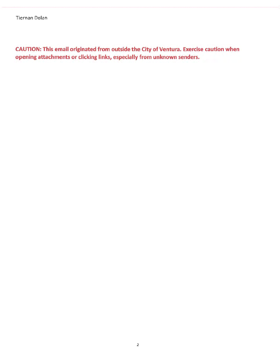Tiernan Dolan

CAUTION: This email originated from outside the City of Ventura. Exercise caution when opening attachments or clicking links, especially from unknown senders.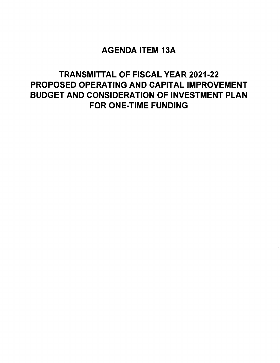## AGENDA ITEM 13A

## TRANSMITTAL OF FISCAL YEAR 2021-22 PROPOSED OPERATING AND CAPITAL IMPROVEMENT BUDGET AND CONSIDERATION OF INVESTMENT PLAN FOR ONE-TIME FUNDING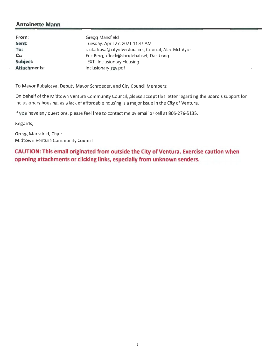#### **Antoinette Mann**

| From:               | Gregg Mansfield                                      |
|---------------------|------------------------------------------------------|
| Sent:               | Tuesday, April 27, 2021 11:47 AM                     |
| To:                 | srubalcava@cityofventura.net; Council; Alex McIntyre |
| $Cc$ :              | Eric Berg; kflock@sbcglobal.net; Dan Long            |
| Subject:            | -EXT- Inclusionary Housing                           |
| <b>Attachments:</b> | Inclusionary_rev.pdf                                 |

To Mayor Rubalcava, Deputy Mayor Schroeder, and City Council Members:

On behalf of the Midtown Ventura Community Council, please accept this letter regarding the Board's support for inclusionary housing, as a lack of affordable housing is a major issue in the City of Ventura.

If you have any questions, please feel free to contact me by email or cell at 805-276-5135.

Regards,

Gregg Mansfield, Chair Midtown Ventura Community Council

**CAUTION: This email originated from outside the City of Ventura. Exercise caution when opening attachments or clicking links, especially from unknown senders.**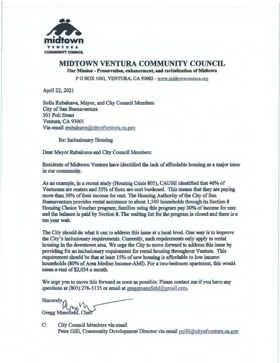

#### **MIDTOWN VENTURA COMMUNITY COUNCIL Our Mission** - **Preservation, enhancement, and revitalization of Midtown**

PO BOX 1041, VENTURA, CA 93002 - www.midtownventura.org

April 22, 2021

Sofia Rubalcava, Mayor, and City Council Members City of San Buenaventura 501 Poli Street Ventura, CA 93001 Via email srubalcava@cityofvcntura.ca.gov

Re: Inclusionary Housing

Dear Mayor Rubalcava and City Council Members:

Residents of Midtown Ventura have identified the lack of affordable housing as a major issue in our community.

As an example, in a recent study (Housing Crisis 805), CAUSE identified that 46% of Venturans are renters and 55% of them are cost burdened. This means that they are paying more than 30% of their income for rent. The Housing Authority of the City of San Buenaventura provides rental assistance to about 1,500 households through its Section 8 Housing Choice Voucher program; families using this program pay 30% of income for rent and the balance is paid by Section 8. The waiting list for the program is closed and there is a ten year wait

The City should do what it can to address this issue at a local level. One way is to improve the City's inclusionary requirements. Currently, such requirements only apply to rental housing in the downtown area. We urge the City to move forward to address this issue by providing for an inclusionary requirement for rental housing throughout Ventura. This requirement should be that at least 15% of new housing is affordable to low income households (80% of Area Median Income-AMI). For a two-bedroom apartment, this would mean a rent of \$2,034 a month.

We urge you to move this forward as soon as possible. Please contact me if you have any questions at (805) 276-5135 or email at greggmansfield@gmail.com.

Sincerely Gregg Mansfield, Chair

C: City Council Members via email Peter Gilli, Community Development Director via email pgilli@cityofventura.ca.gov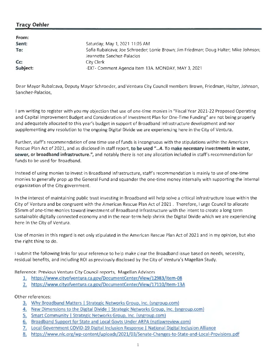## **Tracy Oehler**

| From:    |                                                                                                                      |
|----------|----------------------------------------------------------------------------------------------------------------------|
| Sent:    | Saturday, May 1, 2021 11:05 AM                                                                                       |
| To:      | Sofia Rubalcava; Joe Schroeder; Lorrie Brown; Jim Friedman; Doug Halter; Mike Johnson;<br>Jeannette Sanchez-Palacios |
| Cc:      | City Clerk                                                                                                           |
| Subject: | -EXT- Comment Agenda Item 13A. MONDAY, MAY 3, 2021                                                                   |

Dear Mayor Rubalcava, Deputy Mayor Schroeder, and Ventura City Council members Brown, Friedman, Halter, Johnson, Sanchez-Palacios,

I am writing to register with you my objection that use of one-time monies in " Fiscal Year 2021-22 Proposed Operating and Capital Improvement Budget and Consideration of Investment Plan for One-Time Funding" are not being properly and adequately allocated to this year's budget in support of Broadband Infrastructure development and nor supplementing any resolution to the ongoing Digital Divide we are experiencing here in the City of Ventura .

Further, staff's recommendation of one time use of funds is incongruous with the stipulations within the American Rescue Plan Act of 2021, and as disclosed in staff report, **to be used " ... 4. To make necessary investments in water, sewer, or broadband infrastructure.",** and notably there is not any allocation included in staff's recommendation for funds to be used for Broadband.

Instead of using monies to invest in Broadband Infrastructure, staff's recommendation is mainly to use of one-time monies to generally prop up the General Fund and squander the one-time money internally with supporting the internal organization of the City government.

In the interest of maintaining public trust investing in Broadband will help solve a critical infrastructure issue within the City of Ventura and be congruent with the American Rescue Plan Act of 2021 . Therefore, I urge Council to allocate \$Smm of one-time monies toward investment of Broadband Infrastructure with the intent to create a long term sustainable digitally connected economy and in the near-term help shrink the Digital Divide which we are experiencing here in the City of Ventura.

Use of monies in this regard is not only stipulated in the American Rescue Plan Act of 2021 and in my opinion, but also the right thing to do.

I submit the following links for your reference to help make clear the Broadband issue based on needs, necessity, residual benefits, and including ROI as previously disclosed by the City of Ventura's Magellan Study.

Reference: Previous Ventura City Council reports, Magellan Advisors

- 1. https://www.cityofventura.ca.gov/DocumentCenter/View/12983/Item-08
- 2. https://www.cityofventura.ca.gov/DocumentCenter/View/17110/Item-13A

#### Other references:

- 3. Why Broadband Matters | Strategic Networks Group, Inc. (sngroup.com)
- **4. New** Dimensions to the Digital Divide I Strategic Networks Group, Inc. {sngroup.com)
- 5. Smart Community I Strategic Networks Group, Inc. (sngroup.com)
- 6. Broadband Support for State and Local Govts Under ARPA (natlawreview.coml
- 7. Local Government COVID-19 Digital Inclusion Response I National Digital Inclusion Alliance
- 8. https://www.nlc.org/wp-content/uploads/2021/03/Senate-Changes-to-State-and-Local-Provisions.pdf